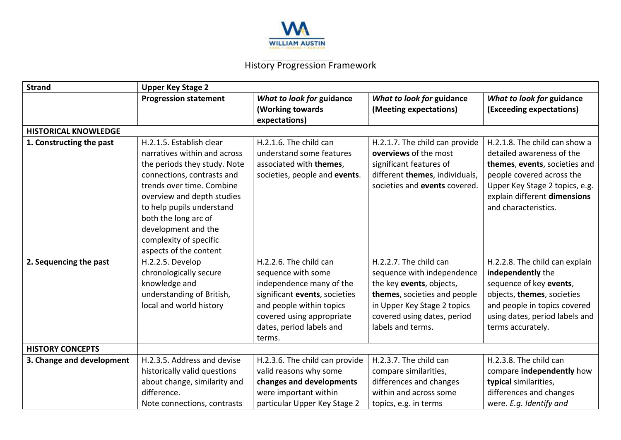

## History Progression Framework

| What to look for guidance                                                                                                                                                                                          |  |  |  |  |  |  |  |
|--------------------------------------------------------------------------------------------------------------------------------------------------------------------------------------------------------------------|--|--|--|--|--|--|--|
| (Exceeding expectations)                                                                                                                                                                                           |  |  |  |  |  |  |  |
| <b>HISTORICAL KNOWLEDGE</b>                                                                                                                                                                                        |  |  |  |  |  |  |  |
| H.2.1.8. The child can show a<br>detailed awareness of the<br>themes, events, societies and<br>people covered across the<br>Upper Key Stage 2 topics, e.g.<br>explain different dimensions<br>and characteristics. |  |  |  |  |  |  |  |
| H.2.2.8. The child can explain<br>independently the<br>sequence of key events,<br>objects, themes, societies<br>and people in topics covered<br>using dates, period labels and<br>terms accurately.                |  |  |  |  |  |  |  |
|                                                                                                                                                                                                                    |  |  |  |  |  |  |  |
| H.2.3.8. The child can<br>compare independently how<br>typical similarities,<br>differences and changes<br>were. E.g. Identify and                                                                                 |  |  |  |  |  |  |  |
|                                                                                                                                                                                                                    |  |  |  |  |  |  |  |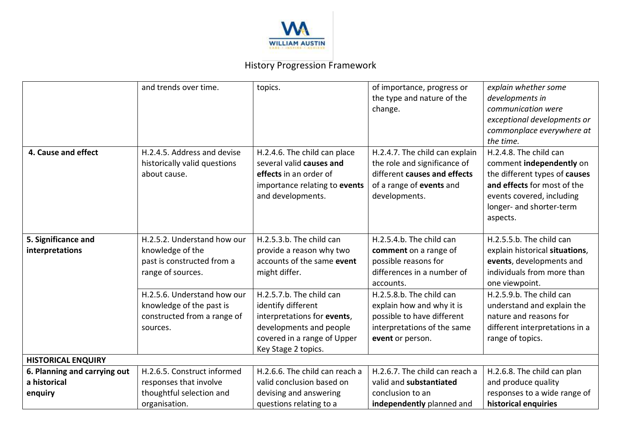

## History Progression Framework

|                              | and trends over time.        | topics.                        | of importance, progress or     | explain whether some           |  |  |  |
|------------------------------|------------------------------|--------------------------------|--------------------------------|--------------------------------|--|--|--|
|                              |                              |                                | the type and nature of the     | developments in                |  |  |  |
|                              |                              |                                | change.                        | communication were             |  |  |  |
|                              |                              |                                |                                | exceptional developments or    |  |  |  |
|                              |                              |                                |                                | commonplace everywhere at      |  |  |  |
|                              |                              |                                |                                | the time.                      |  |  |  |
| 4. Cause and effect          | H.2.4.5. Address and devise  | H.2.4.6. The child can place   | H.2.4.7. The child can explain | H.2.4.8. The child can         |  |  |  |
|                              | historically valid questions | several valid causes and       | the role and significance of   | comment independently on       |  |  |  |
|                              | about cause.                 | effects in an order of         | different causes and effects   | the different types of causes  |  |  |  |
|                              |                              | importance relating to events  | of a range of events and       | and effects for most of the    |  |  |  |
|                              |                              | and developments.              | developments.                  | events covered, including      |  |  |  |
|                              |                              |                                |                                | longer- and shorter-term       |  |  |  |
|                              |                              |                                |                                | aspects.                       |  |  |  |
|                              |                              |                                |                                |                                |  |  |  |
| 5. Significance and          | H.2.5.2. Understand how our  | H.2.5.3.b. The child can       | H.2.5.4.b. The child can       | H.2.5.5.b. The child can       |  |  |  |
| interpretations              | knowledge of the             | provide a reason why two       | comment on a range of          | explain historical situations, |  |  |  |
|                              | past is constructed from a   | accounts of the same event     | possible reasons for           | events, developments and       |  |  |  |
|                              | range of sources.            | might differ.                  | differences in a number of     | individuals from more than     |  |  |  |
|                              |                              |                                | accounts.                      | one viewpoint.                 |  |  |  |
|                              | H.2.5.6. Understand how our  | H.2.5.7.b. The child can       | H.2.5.8.b. The child can       | H.2.5.9.b. The child can       |  |  |  |
|                              | knowledge of the past is     | identify different             | explain how and why it is      | understand and explain the     |  |  |  |
|                              | constructed from a range of  | interpretations for events,    | possible to have different     | nature and reasons for         |  |  |  |
|                              | sources.                     | developments and people        | interpretations of the same    | different interpretations in a |  |  |  |
|                              |                              | covered in a range of Upper    | event or person.               | range of topics.               |  |  |  |
|                              |                              | Key Stage 2 topics.            |                                |                                |  |  |  |
| <b>HISTORICAL ENQUIRY</b>    |                              |                                |                                |                                |  |  |  |
| 6. Planning and carrying out | H.2.6.5. Construct informed  | H.2.6.6. The child can reach a | H.2.6.7. The child can reach a | H.2.6.8. The child can plan    |  |  |  |
| a historical                 | responses that involve       | valid conclusion based on      | valid and substantiated        | and produce quality            |  |  |  |
| enquiry                      | thoughtful selection and     | devising and answering         | conclusion to an               | responses to a wide range of   |  |  |  |
|                              | organisation.                | questions relating to a        | independently planned and      | historical enquiries           |  |  |  |